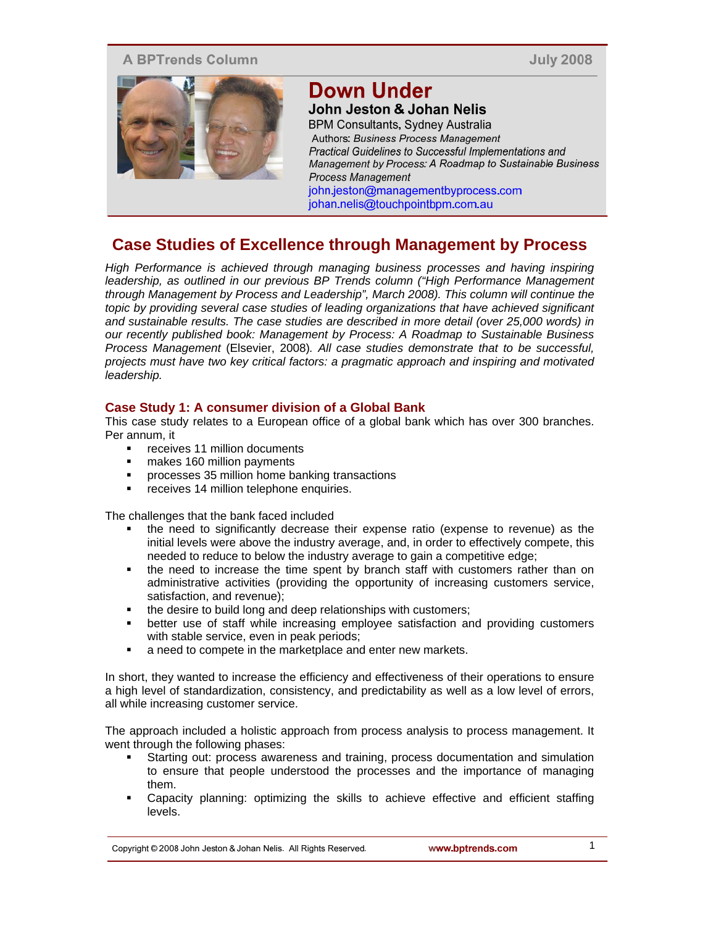# **A BPTrends Column**

**July 2008** 



# **Down Under**

John Jeston & Johan Nelis **BPM Consultants, Sydney Australia** Authors: Business Process Management Practical Guidelines to Successful Implementations and Management by Process: A Roadmap to Sustainable Business Process Management john.jeston@managementbyprocess.com johan.nelis@touchpointbpm.com.au

# **Case Studies of Excellence through Management by Process**

*High Performance is achieved through managing business processes and having inspiring leadership, as outlined in our previous BP Trends column ("High Performance Management through Management by Process and Leadership", March 2008). This column will continue the topic by providing several case studies of leading organizations that have achieved significant and sustainable results. The case studies are described in more detail (over 25,000 words) in our recently published book: Management by Process: A Roadmap to Sustainable Business Process Management* (Elsevier, 2008)*. All case studies demonstrate that to be successful, projects must have two key critical factors: a pragmatic approach and inspiring and motivated leadership.* 

# **Case Study 1: A consumer division of a Global Bank**

This case study relates to a European office of a global bank which has over 300 branches. Per annum, it

- receives 11 million documents
- makes 160 million payments
- processes 35 million home banking transactions
- **Falle receives 14 million telephone enquiries.**

The challenges that the bank faced included

- the need to significantly decrease their expense ratio (expense to revenue) as the initial levels were above the industry average, and, in order to effectively compete, this needed to reduce to below the industry average to gain a competitive edge;
- the need to increase the time spent by branch staff with customers rather than on administrative activities (providing the opportunity of increasing customers service, satisfaction, and revenue);
- the desire to build long and deep relationships with customers;<br>■ better use of staff while increasing employee satisfaction are
- better use of staff while increasing employee satisfaction and providing customers with stable service, even in peak periods;
- a need to compete in the marketplace and enter new markets.

In short, they wanted to increase the efficiency and effectiveness of their operations to ensure a high level of standardization, consistency, and predictability as well as a low level of errors, all while increasing customer service.

The approach included a holistic approach from process analysis to process management. It went through the following phases:

- Starting out: process awareness and training, process documentation and simulation to ensure that people understood the processes and the importance of managing them.
- Capacity planning: optimizing the skills to achieve effective and efficient staffing levels.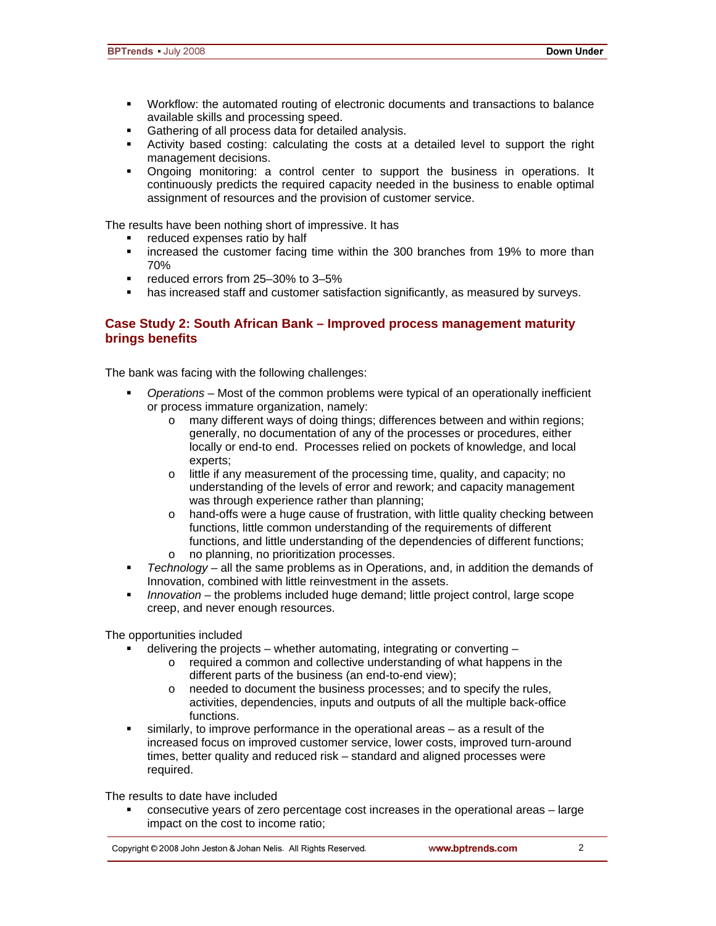- Workflow: the automated routing of electronic documents and transactions to balance available skills and processing speed.
- Gathering of all process data for detailed analysis.
- Activity based costing: calculating the costs at a detailed level to support the right management decisions.
- Ongoing monitoring: a control center to support the business in operations. It continuously predicts the required capacity needed in the business to enable optimal assignment of resources and the provision of customer service.

The results have been nothing short of impressive. It has

- reduced expenses ratio by half
- increased the customer facing time within the 300 branches from 19% to more than 70%
- reduced errors from 25-30% to 3-5%
- has increased staff and customer satisfaction significantly, as measured by surveys.

#### **Case Study 2: South African Bank – Improved process management maturity brings benefits**

The bank was facing with the following challenges:

- *Operations*  Most of the common problems were typical of an operationally inefficient or process immature organization, namely:
	- o many different ways of doing things; differences between and within regions; generally, no documentation of any of the processes or procedures, either locally or end-to end. Processes relied on pockets of knowledge, and local experts;
	- o little if any measurement of the processing time, quality, and capacity; no understanding of the levels of error and rework; and capacity management was through experience rather than planning;
	- o hand-offs were a huge cause of frustration, with little quality checking between functions, little common understanding of the requirements of different functions, and little understanding of the dependencies of different functions;
	- o no planning, no prioritization processes.
- *Technology* all the same problems as in Operations, and, in addition the demands of Innovation, combined with little reinvestment in the assets.
- **Innovation the problems included huge demand; little project control, large scope** creep, and never enough resources.

The opportunities included

- delivering the projects whether automating, integrating or converting
	- o required a common and collective understanding of what happens in the different parts of the business (an end-to-end view);
	- o needed to document the business processes; and to specify the rules, activities, dependencies, inputs and outputs of all the multiple back-office functions.
- similarly, to improve performance in the operational areas as a result of the increased focus on improved customer service, lower costs, improved turn-around times, better quality and reduced risk – standard and aligned processes were required.

The results to date have included

 consecutive years of zero percentage cost increases in the operational areas – large impact on the cost to income ratio;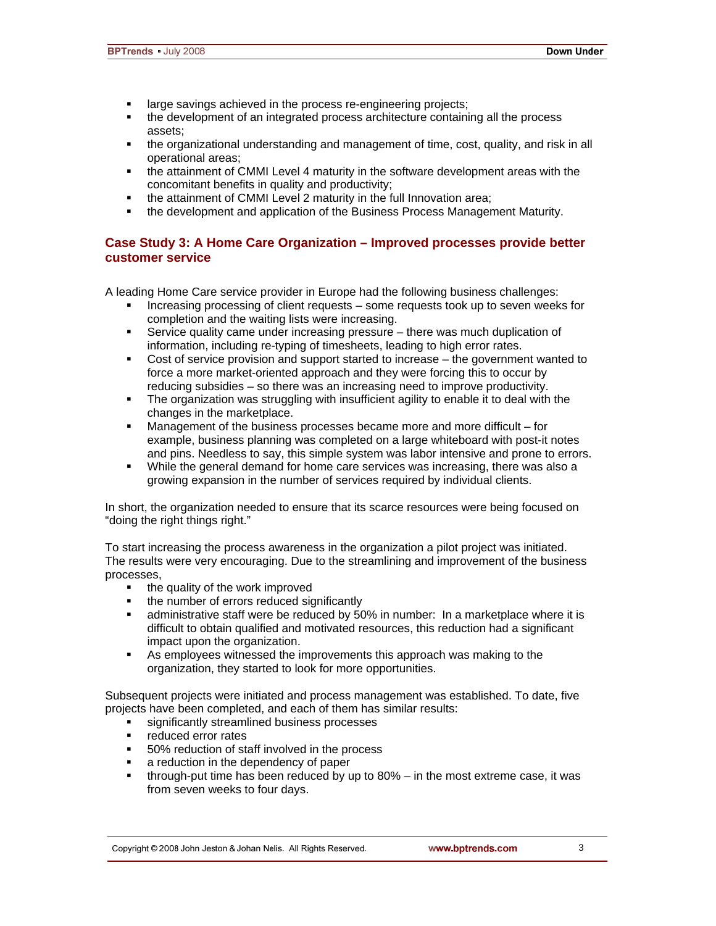- **EXECT** large savings achieved in the process re-engineering projects;
- the development of an integrated process architecture containing all the process assets;
- the organizational understanding and management of time, cost, quality, and risk in all operational areas;
- the attainment of CMMI Level 4 maturity in the software development areas with the concomitant benefits in quality and productivity;
- the attainment of CMMI Level 2 maturity in the full Innovation area;
- **the development and application of the Business Process Management Maturity.**

# **Case Study 3: A Home Care Organization – Improved processes provide better customer service**

A leading Home Care service provider in Europe had the following business challenges:

- Increasing processing of client requests some requests took up to seven weeks for completion and the waiting lists were increasing.
- Service quality came under increasing pressure there was much duplication of information, including re-typing of timesheets, leading to high error rates.
- Cost of service provision and support started to increase the government wanted to force a more market-oriented approach and they were forcing this to occur by reducing subsidies – so there was an increasing need to improve productivity.
- The organization was struggling with insufficient agility to enable it to deal with the changes in the marketplace.
- Management of the business processes became more and more difficult for example, business planning was completed on a large whiteboard with post-it notes and pins. Needless to say, this simple system was labor intensive and prone to errors.
- While the general demand for home care services was increasing, there was also a growing expansion in the number of services required by individual clients.

In short, the organization needed to ensure that its scarce resources were being focused on "doing the right things right."

To start increasing the process awareness in the organization a pilot project was initiated. The results were very encouraging. Due to the streamlining and improvement of the business processes,

- the quality of the work improved
- the number of errors reduced significantly
- administrative staff were be reduced by 50% in number: In a marketplace where it is difficult to obtain qualified and motivated resources, this reduction had a significant impact upon the organization.
- As employees witnessed the improvements this approach was making to the organization, they started to look for more opportunities.

Subsequent projects were initiated and process management was established. To date, five projects have been completed, and each of them has similar results:

- significantly streamlined business processes
- **•** reduced error rates
- 50% reduction of staff involved in the process
- **a** reduction in the dependency of paper
- through-put time has been reduced by up to 80% in the most extreme case, it was from seven weeks to four days.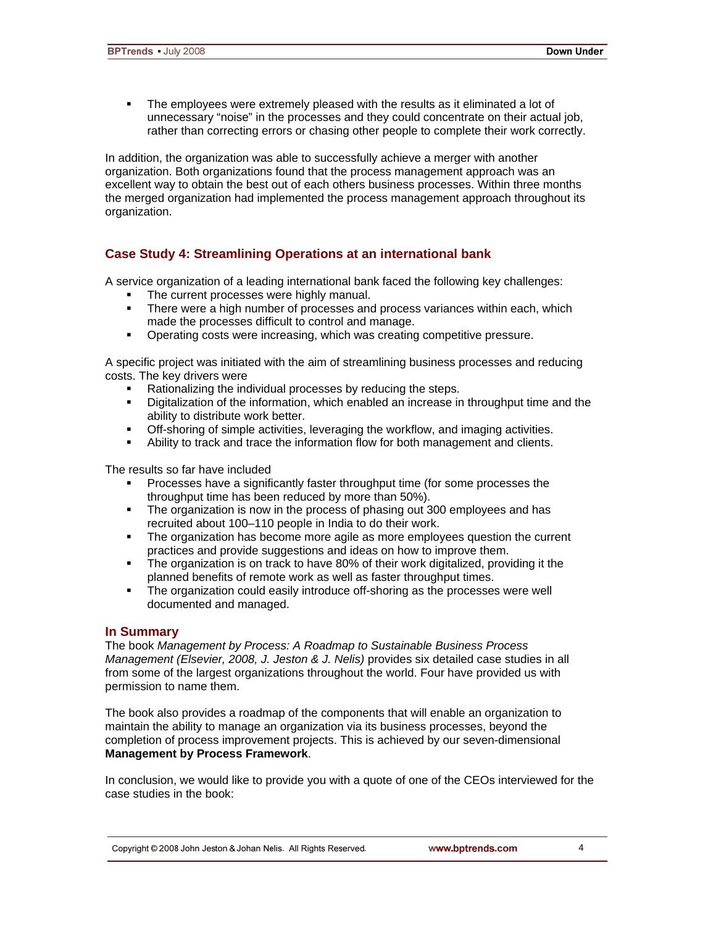The employees were extremely pleased with the results as it eliminated a lot of unnecessary "noise" in the processes and they could concentrate on their actual job, rather than correcting errors or chasing other people to complete their work correctly.

In addition, the organization was able to successfully achieve a merger with another organization. Both organizations found that the process management approach was an excellent way to obtain the best out of each others business processes. Within three months the merged organization had implemented the process management approach throughout its organization.

# **Case Study 4: Streamlining Operations at an international bank**

A service organization of a leading international bank faced the following key challenges:

- The current processes were highly manual.
- **There were a high number of processes and process variances within each, which** made the processes difficult to control and manage.
- Operating costs were increasing, which was creating competitive pressure.

A specific project was initiated with the aim of streamlining business processes and reducing costs. The key drivers were

- Rationalizing the individual processes by reducing the steps.
- **•** Digitalization of the information, which enabled an increase in throughput time and the ability to distribute work better.
- Off-shoring of simple activities, leveraging the workflow, and imaging activities.
- Ability to track and trace the information flow for both management and clients.

The results so far have included

- Processes have a significantly faster throughput time (for some processes the throughput time has been reduced by more than 50%).
- The organization is now in the process of phasing out 300 employees and has recruited about 100–110 people in India to do their work.
- The organization has become more agile as more employees question the current practices and provide suggestions and ideas on how to improve them.
- The organization is on track to have 80% of their work digitalized, providing it the planned benefits of remote work as well as faster throughput times.
- The organization could easily introduce off-shoring as the processes were well documented and managed.

#### **In Summary**

The book *Management by Process: A Roadmap to Sustainable Business Process Management (Elsevier, 2008, J. Jeston & J. Nelis)* provides six detailed case studies in all from some of the largest organizations throughout the world. Four have provided us with permission to name them.

The book also provides a roadmap of the components that will enable an organization to maintain the ability to manage an organization via its business processes, beyond the completion of process improvement projects. This is achieved by our seven-dimensional **Management by Process Framework**.

In conclusion, we would like to provide you with a quote of one of the CEOs interviewed for the case studies in the book: